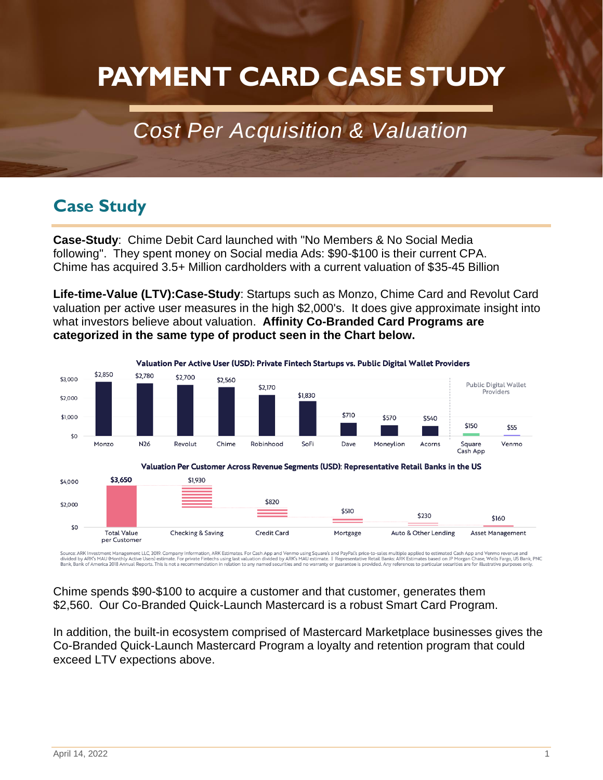# **PAYMENT CARD CASE STUDY**

## *Cost Per Acquisition & Valuation*

## **Case Study**

**Case-Study**: Chime Debit Card launched with "No Members & No Social Media following". They spent money on Social media Ads: \$90-\$100 is their current CPA. Chime has acquired 3.5+ Million cardholders with a current valuation of \$35-45 Billion

**Life-time-Value (LTV):Case-Study**: Startups such as Monzo, Chime Card and Revolut Card valuation per active user measures in the high \$2,000's. It does give approximate insight into what investors believe about valuation. **Affinity Co-Branded Card Programs are categorized in the same type of product seen in the Chart below.** 



Source: ARK Investment Management LLC, 2019. Company Information, ARK Estimates. For Cash Aş<br>divided by ARK's MAU (Monthly Active Users) estimate. For private Firtlechs using last valuation divi<br>Bank, Bank of America 2018 applied to estimated Cash App and Venmo revenue and<br>Istimates based on JP Morgan Chase, Wells Fargo, US Bank, PNC<br>ces to particular securities are for illustrative purposes only. and Venmo using Square's<br>d by ARK's MAU estimate.

Chime spends \$90-\$100 to acquire a customer and that customer, generates them \$2,560. Our Co-Branded Quick-Launch Mastercard is a robust Smart Card Program.

In addition, the built-in ecosystem comprised of Mastercard Marketplace businesses gives the Co-Branded Quick-Launch Mastercard Program a loyalty and retention program that could exceed LTV expections above.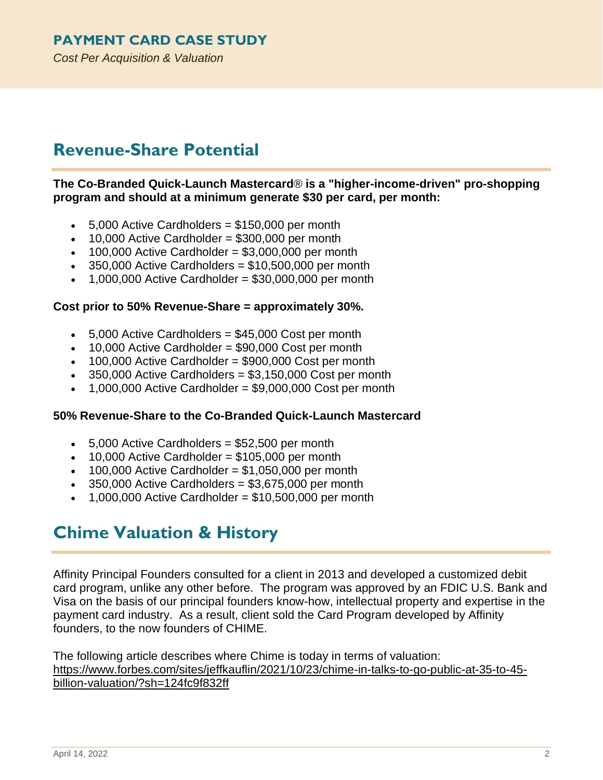*Cost Per Acquisition & Valuation*

## **Revenue-Share Potential**

**The Co-Branded Quick-Launch Mastercard**® **is a "higher-income-driven" pro-shopping program and should at a minimum generate \$30 per card, per month:**

- $\bullet$  5,000 Active Cardholders = \$150,000 per month
- $\bullet$  10,000 Active Cardholder = \$300,000 per month
- $\cdot$  100,000 Active Cardholder = \$3,000,000 per month
- $\cdot$  350,000 Active Cardholders = \$10,500,000 per month
- $\bullet$  1,000,000 Active Cardholder = \$30,000,000 per month

#### **Cost prior to 50% Revenue-Share = approximately 30%.**

- $\bullet$  5,000 Active Cardholders = \$45,000 Cost per month
- 10,000 Active Cardholder = \$90,000 Cost per month
- $\bullet$  100,000 Active Cardholder = \$900,000 Cost per month
- 350,000 Active Cardholders = \$3,150,000 Cost per month
- 1,000,000 Active Cardholder = \$9,000,000 Cost per month

#### **50% Revenue-Share to the Co-Branded Quick-Launch Mastercard**

- $\cdot$  5,000 Active Cardholders = \$52,500 per month
- $\bullet$  10,000 Active Cardholder = \$105,000 per month
- $\bullet$  100,000 Active Cardholder = \$1,050,000 per month
- $\cdot$  350,000 Active Cardholders = \$3,675,000 per month
- 1,000,000 Active Cardholder = \$10,500,000 per month

### **Chime Valuation & History**

Affinity Principal Founders consulted for a client in 2013 and developed a customized debit card program, unlike any other before. The program was approved by an FDIC U.S. Bank and Visa on the basis of our principal founders know-how, intellectual property and expertise in the payment card industry. As a result, client sold the Card Program developed by Affinity founders, to the now founders of CHIME.

The following article describes where Chime is today in terms of valuation: [https://www.forbes.com/sites/jeffkauflin/2021/10/23/chime-in-talks-to-go-public-at-35-to-45](https://www.forbes.com/sites/jeffkauflin/2021/10/23/chime-in-talks-to-go-public-at-35-to-45-billion-valuation/?sh=124fc9f832ff) [billion-valuation/?sh=124fc9f832ff](https://www.forbes.com/sites/jeffkauflin/2021/10/23/chime-in-talks-to-go-public-at-35-to-45-billion-valuation/?sh=124fc9f832ff)